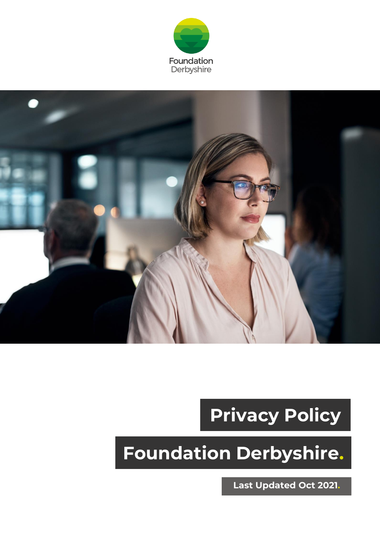



# **Privacy Policy**

# **Foundation Derbyshire.**

**Last Updated Oct 2021.**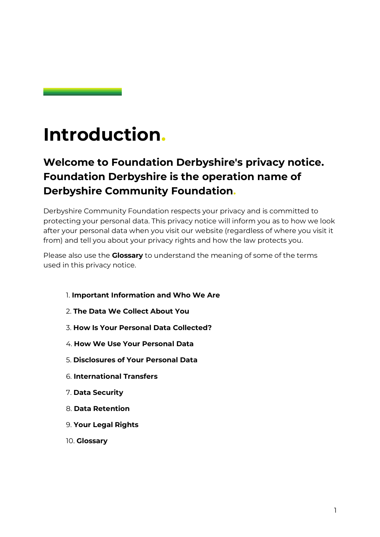### **Introduction.**

### **Welcome to Foundation Derbyshire's privacy notice. Foundation Derbyshire is the operation name of Derbyshire Community Foundation.**

Derbyshire Community Foundation respects your privacy and is committed to protecting your personal data. This privacy notice will inform you as to how we look after your personal data when you visit our website (regardless of where you visit it from) and tell you about your privacy rights and how the law protects you.

Please also use the **Glossary** to understand the meaning of some of the terms used in this privacy notice.

- 1. **[Important Information and Who We Are](#page-2-0)**
- 2. **[The Data We Collect About You](#page-4-0)**
- 3. **[How Is Your Personal Data Collected?](#page-7-0)**
- 4. **[How We Use Your Personal Data](#page-8-0)**
- 5. **[Disclosures of Your Personal Data](#page-15-0)**
- 6. **[International Transfers](#page-16-0)**
- 7. **[Data Security](#page-16-1)**
- 8. **[Data Retention](#page-17-0)**
- 9. **[Your Legal Rights](#page-18-0)**
- 10. **Glossary**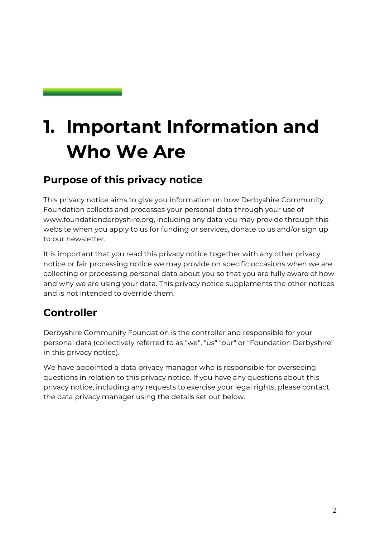# <span id="page-2-0"></span>**1. Important Information and Who We Are**

#### **Purpose of this privacy notice**

This privacy notice aims to give you information on how Derbyshire Community Foundation collects and processes your personal data through your use of [www.foundationderbyshire.org,](http://www.foundationderbyshire.org/) including any data you may provide through this website when you apply to us for funding or services, donate to us and/or sign up to our newsletter.

It is important that you read this privacy notice together with any other privacy notice or fair processing notice we may provide on specific occasions when we are collecting or processing personal data about you so that you are fully aware of how and why we are using your data. This privacy notice supplements the other notices and is not intended to override them.

### **Controller**

Derbyshire Community Foundation is the controller and responsible for your personal data (collectively referred to as "we", "us" "our" or "Foundation Derbyshire" in this privacy notice).

We have appointed a data privacy manager who is responsible for overseeing questions in relation to this privacy notice. If you have any questions about this privacy notice, including any requests to exercise [your legal rights,](#page-18-0) please contact the data privacy manager using the details set out below.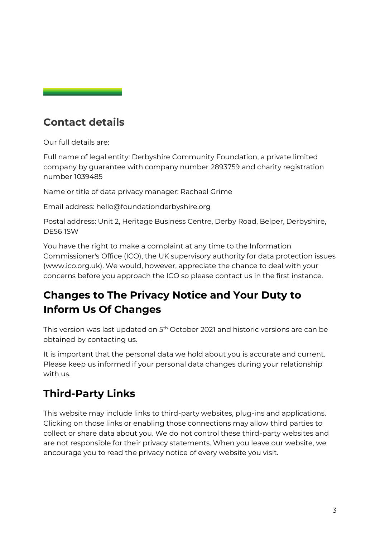#### <span id="page-3-1"></span><span id="page-3-0"></span>**Contact details**

Our full details are:

Full name of legal entity: Derbyshire Community Foundation, a private limited company by guarantee with company number 2893759 and charity registration number 1039485

Name or title of data privacy manager: Rachael Grime

Email address: [hello@foundationderbyshire.org](mailto:hello@foundationderbyshire.org) 

Postal address: Unit 2, Heritage Business Centre, Derby Road, Belper, Derbyshire, DE56 1SW

You have the right to make a complaint at any time to the Information Commissioner's Office (ICO), the UK supervisory authority for data protection issues [\(www.ico.org.uk\)](http://www.ico.org.uk/). We would, however, appreciate the chance to deal with your concerns before you approach the ICO so please [contact us](#page-3-0) in the first instance.

#### **Changes to The Privacy Notice and Your Duty to Inform Us Of Changes**

This version was last updated on 5<sup>th</sup> October 2021 and historic versions are can be obtained by [contacting us.](#page-3-0)

It is important that the personal data we hold about you is accurate and current. Please keep us informed if your personal data changes during your relationship with us.

### **Third-Party Links**

This website may include links to third-party websites, plug-ins and applications. Clicking on those links or enabling those connections may allow third parties to collect or share data about you. We do not control these third-party websites and are not responsible for their privacy statements. When you leave our website, we encourage you to read the privacy notice of every website you visit.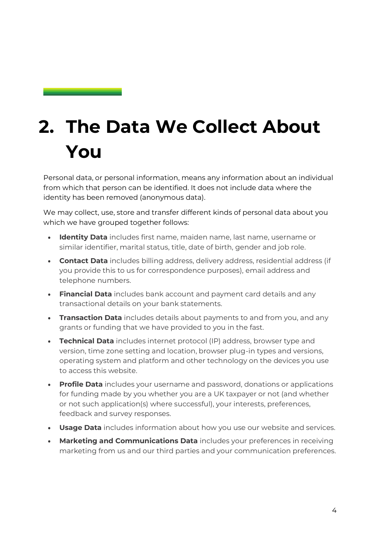### <span id="page-4-0"></span>**2. The Data We Collect About You**

Personal data, or personal information, means any information about an individual from which that person can be identified. It does not include data where the identity has been removed (anonymous data).

We may collect, use, store and transfer different kinds of personal data about you which we have grouped together follows:

- **Identity Data** includes first name, maiden name, last name, username or similar identifier, marital status, title, date of birth, gender and job role.
- **Contact Data** includes billing address, delivery address, residential address (if you provide this to us for correspondence purposes), email address and telephone numbers.
- **Financial Data** includes bank account and payment card details and any transactional details on your bank statements.
- **Transaction Data** includes details about payments to and from you, and any grants or funding that we have provided to you in the fast.
- **Technical Data** includes internet protocol (IP) address, browser type and version, time zone setting and location, browser plug-in types and versions, operating system and platform and other technology on the devices you use to access this website.
- **Profile Data** includes your username and password, donations or applications for funding made by you whether you are a UK taxpayer or not (and whether or not such application(s) where successful), your interests, preferences, feedback and survey responses.
- **Usage Data** includes information about how you use our website and services.
- **Marketing and Communications Data** includes your preferences in receiving marketing from us and our third parties and your communication preferences.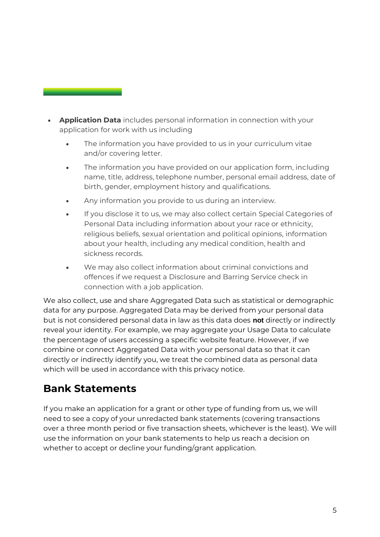- **Application Data** includes personal information in connection with your application for work with us including
	- The information you have provided to us in your curriculum vitae and/or covering letter.
	- The information you have provided on our application form, including name, title, address, telephone number, personal email address, date of birth, gender, employment history and qualifications.
	- Any information you provide to us during an interview.
	- If you disclose it to us, we may also collect certain Special Categories of Personal Data including information about your race or ethnicity, religious beliefs, sexual orientation and political opinions, information about your health, including any medical condition, health and sickness records.
	- We may also collect information about criminal convictions and offences if we request a Disclosure and Barring Service check in connection with a job application.

We also collect, use and share Aggregated Data such as statistical or demographic data for any purpose. Aggregated Data may be derived from your personal data but is not considered personal data in law as this data does **not** directly or indirectly reveal your identity. For example, we may aggregate your Usage Data to calculate the percentage of users accessing a specific website feature. However, if we combine or connect Aggregated Data with your personal data so that it can directly or indirectly identify you, we treat the combined data as personal data which will be used in accordance with this privacy notice.

#### **Bank Statements**

If you make an application for a grant or other type of funding from us, we will need to see a copy of your unredacted bank statements (covering transactions over a three month period or five transaction sheets, whichever is the least). We will use the information on your bank statements to help us reach a decision on whether to accept or decline your funding/grant application.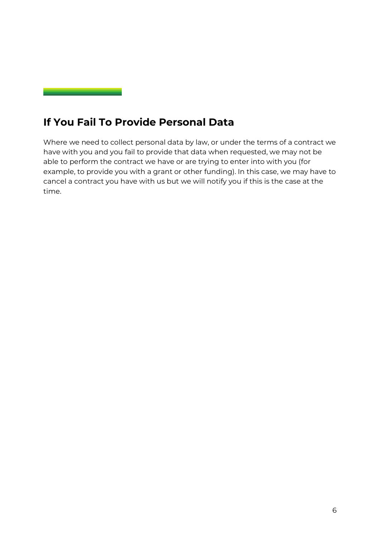#### **If You Fail To Provide Personal Data**

Where we need to collect personal data by law, or under the terms of a contract we have with you and you fail to provide that data when requested, we may not be able to perform the contract we have or are trying to enter into with you (for example, to provide you with a grant or other funding). In this case, we may have to cancel a contract you have with us but we will notify you if this is the case at the time.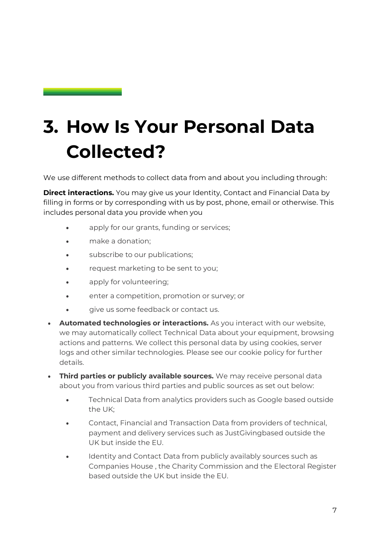## <span id="page-7-0"></span>**3. How Is Your Personal Data Collected?**

We use different methods to collect data from and about you including through:

**Direct interactions.** You may give us your Identity, Contact and Financial Data by filling in forms or by corresponding with us by post, phone, email or otherwise. This includes personal data you provide when you

- apply for our grants, funding or services;
- make a donation;
- subscribe to our publications;
- request marketing to be sent to you;
- apply for volunteering;
- enter a competition, promotion or survey; or
- give us some feedback or contact us.
- **Automated technologies or interactions.** As you interact with our website, we may automatically collect Technical Data about your equipment, browsing actions and patterns. We collect this personal data by using cookies, server logs and other similar technologies. Please see our cookie policy for further details.
- **Third parties or publicly available sources.** We may receive personal data about you from various third parties and public sources as set out below:
	- Technical Data from analytics providers such as Google based outside the UK;
	- Contact, Financial and Transaction Data from providers of technical, payment and delivery services such as JustGivingbased outside the UK but inside the EU.
	- Identity and Contact Data from publicly availably sources such as Companies House , the Charity Commission and the Electoral Register based outside the UK but inside the EU.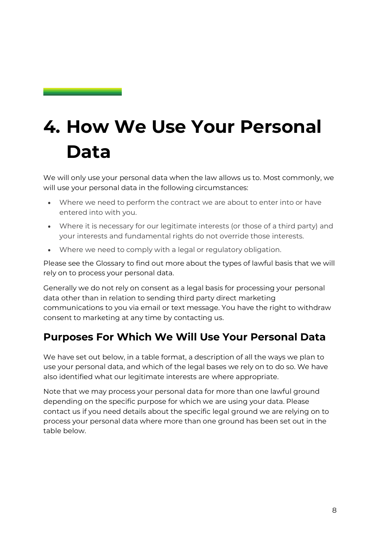### <span id="page-8-0"></span>**4. How We Use Your Personal Data**

We will only use your personal data when the law allows us to. Most commonly, we will use your personal data in the following circumstances:

- Where we need to perform the contract we are about to enter into or have entered into with you.
- Where it is necessary for our legitimate interests (or those of a third party) and your interests and fundamental rights do not override those interests.
- Where we need to comply with a legal or regulatory obligation.

Please see the Glossary to find out more about the types of lawful basis that we will rely on to process your personal data.

Generally we do not rely on consent as a legal basis for processing your personal data other than in relation to sending third party direct marketing communications to you via email or text message. You have the right to withdraw consent to marketing at any time by [contacting us.](#page-3-1)

#### **Purposes For Which We Will Use Your Personal Data**

We have set out below, in a table format, a description of all the ways we plan to use your personal data, and which of the legal bases we rely on to do so. We have also identified what our legitimate interests are where appropriate.

Note that we may process your personal data for more than one lawful ground depending on the specific purpose for which we are using your data. Please [contact us](#page-3-1) if you need details about the specific legal ground we are relying on to process your personal data where more than one ground has been set out in the table below.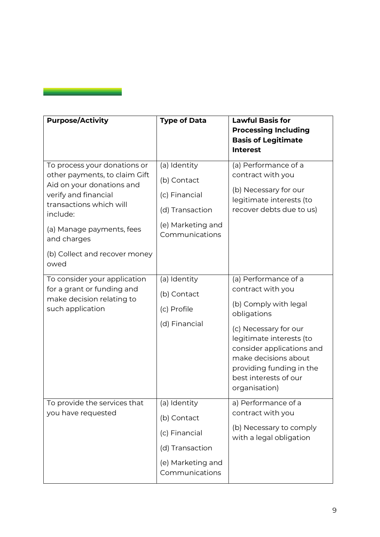| <b>Purpose/Activity</b>                                                                                                                                                                                                                        | <b>Type of Data</b>                                                                                    | <b>Lawful Basis for</b><br><b>Processing Including</b><br><b>Basis of Legitimate</b><br><b>Interest</b>                                                                                                                                                           |
|------------------------------------------------------------------------------------------------------------------------------------------------------------------------------------------------------------------------------------------------|--------------------------------------------------------------------------------------------------------|-------------------------------------------------------------------------------------------------------------------------------------------------------------------------------------------------------------------------------------------------------------------|
| To process your donations or<br>other payments, to claim Gift<br>Aid on your donations and<br>verify and financial<br>transactions which will<br>include:<br>(a) Manage payments, fees<br>and charges<br>(b) Collect and recover money<br>owed | (a) Identity<br>(b) Contact<br>(c) Financial<br>(d) Transaction<br>(e) Marketing and<br>Communications | (a) Performance of a<br>contract with you<br>(b) Necessary for our<br>legitimate interests (to<br>recover debts due to us)                                                                                                                                        |
| To consider your application<br>for a grant or funding and<br>make decision relating to<br>such application                                                                                                                                    | (a) Identity<br>(b) Contact<br>(c) Profile<br>(d) Financial                                            | (a) Performance of a<br>contract with you<br>(b) Comply with legal<br>obligations<br>(c) Necessary for our<br>legitimate interests (to<br>consider applications and<br>make decisions about<br>providing funding in the<br>best interests of our<br>organisation) |
| To provide the services that<br>you have requested                                                                                                                                                                                             | (a) Identity<br>(b) Contact<br>(c) Financial<br>(d) Transaction<br>(e) Marketing and<br>Communications | a) Performance of a<br>contract with you<br>(b) Necessary to comply<br>with a legal obligation                                                                                                                                                                    |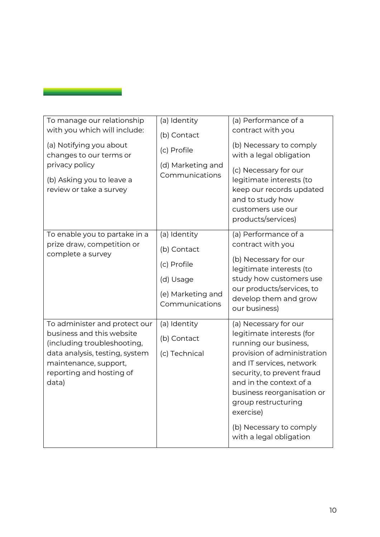| To manage our relationship<br>with you which will include:<br>(a) Notifying you about<br>changes to our terms or<br>privacy policy<br>(b) Asking you to leave a<br>review or take a survey | (a) Identity<br>(b) Contact<br>(c) Profile<br>(d) Marketing and<br>Communications              | (a) Performance of a<br>contract with you<br>(b) Necessary to comply<br>with a legal obligation<br>(c) Necessary for our<br>legitimate interests (to<br>keep our records updated<br>and to study how<br>customers use our<br>products/services)                                                                         |
|--------------------------------------------------------------------------------------------------------------------------------------------------------------------------------------------|------------------------------------------------------------------------------------------------|-------------------------------------------------------------------------------------------------------------------------------------------------------------------------------------------------------------------------------------------------------------------------------------------------------------------------|
| To enable you to partake in a<br>prize draw, competition or<br>complete a survey                                                                                                           | (a) Identity<br>(b) Contact<br>(c) Profile<br>(d) Usage<br>(e) Marketing and<br>Communications | (a) Performance of a<br>contract with you<br>(b) Necessary for our<br>legitimate interests (to<br>study how customers use<br>our products/services, to<br>develop them and grow<br>our business)                                                                                                                        |
| To administer and protect our<br>business and this website<br>(including troubleshooting,<br>data analysis, testing, system<br>maintenance, support,<br>reporting and hosting of<br>data)  | (a) Identity<br>(b) Contact<br>(c) Technical                                                   | (a) Necessary for our<br>legitimate interests (for<br>running our business,<br>provision of administration<br>and IT services, network<br>security, to prevent fraud<br>and in the context of a<br>business reorganisation or<br>group restructuring<br>exercise)<br>(b) Necessary to comply<br>with a legal obligation |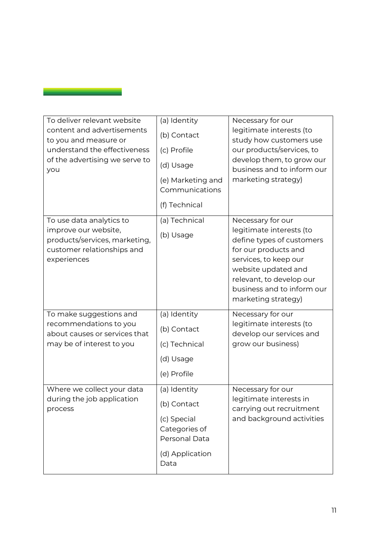| To deliver relevant website<br>content and advertisements<br>to you and measure or<br>understand the effectiveness<br>of the advertising we serve to<br>you | (a) Identity<br>(b) Contact<br>(c) Profile<br>(d) Usage<br>(e) Marketing and<br>Communications<br>(f) Technical | Necessary for our<br>legitimate interests (to<br>study how customers use<br>our products/services, to<br>develop them, to grow our<br>business and to inform our<br>marketing strategy)                                             |
|-------------------------------------------------------------------------------------------------------------------------------------------------------------|-----------------------------------------------------------------------------------------------------------------|-------------------------------------------------------------------------------------------------------------------------------------------------------------------------------------------------------------------------------------|
| To use data analytics to<br>improve our website,<br>products/services, marketing,<br>customer relationships and<br>experiences                              | (a) Technical<br>(b) Usage                                                                                      | Necessary for our<br>legitimate interests (to<br>define types of customers<br>for our products and<br>services, to keep our<br>website updated and<br>relevant, to develop our<br>business and to inform our<br>marketing strategy) |
| To make suggestions and<br>recommendations to you<br>about causes or services that<br>may be of interest to you                                             | (a) Identity<br>(b) Contact<br>(c) Technical<br>(d) Usage<br>(e) Profile                                        | Necessary for our<br>legitimate interests (to<br>develop our services and<br>grow our business)                                                                                                                                     |
| Where we collect your data<br>during the job application<br>process                                                                                         | (a) Identity<br>(b) Contact<br>(c) Special<br>Categories of<br>Personal Data<br>(d) Application<br>Data         | Necessary for our<br>legitimate interests in<br>carrying out recruitment<br>and background activities                                                                                                                               |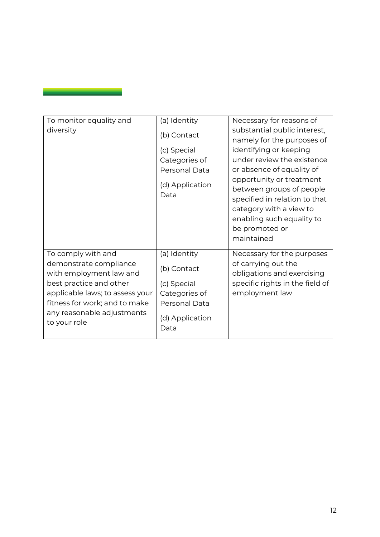| To monitor equality and         | (a) Identity            | Necessary for reasons of        |
|---------------------------------|-------------------------|---------------------------------|
| diversity                       | (b) Contact             | substantial public interest,    |
|                                 |                         | namely for the purposes of      |
|                                 | (c) Special             | identifying or keeping          |
|                                 | Categories of           | under review the existence      |
|                                 | Personal Data           | or absence of equality of       |
|                                 |                         | opportunity or treatment        |
|                                 | (d) Application<br>Data | between groups of people        |
|                                 |                         | specified in relation to that   |
|                                 |                         | category with a view to         |
|                                 |                         | enabling such equality to       |
|                                 |                         | be promoted or                  |
|                                 |                         | maintained                      |
| To comply with and              | (a) Identity            | Necessary for the purposes      |
| demonstrate compliance          | (b) Contact             | of carrying out the             |
| with employment law and         |                         | obligations and exercising      |
| best practice and other         | (c) Special             | specific rights in the field of |
| applicable laws; to assess your | Categories of           | employment law                  |
| fitness for work; and to make   | Personal Data           |                                 |
| any reasonable adjustments      | (d) Application         |                                 |
| to your role                    | Data                    |                                 |
|                                 |                         |                                 |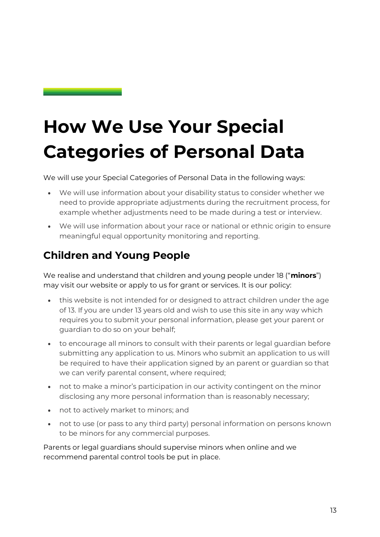## **How We Use Your Special Categories of Personal Data**

We will use your Special Categories of Personal Data in the following ways:

- We will use information about your disability status to consider whether we need to provide appropriate adjustments during the recruitment process, for example whether adjustments need to be made during a test or interview.
- We will use information about your race or national or ethnic origin to ensure meaningful equal opportunity monitoring and reporting.

#### **Children and Young People**

We realise and understand that children and young people under 18 ("**minors**") may visit our website or apply to us for grant or services. It is our policy:

- this website is not intended for or designed to attract children under the age of 13. If you are under 13 years old and wish to use this site in any way which requires you to submit your personal information, please get your parent or guardian to do so on your behalf;
- to encourage all minors to consult with their parents or legal guardian before submitting any application to us. Minors who submit an application to us will be required to have their application signed by an parent or guardian so that we can verify parental consent, where required;
- not to make a minor's participation in our activity contingent on the minor disclosing any more personal information than is reasonably necessary;
- not to actively market to minors; and
- not to use (or pass to any third party) personal information on persons known to be minors for any commercial purposes.

Parents or legal guardians should supervise minors when online and we recommend parental control tools be put in place.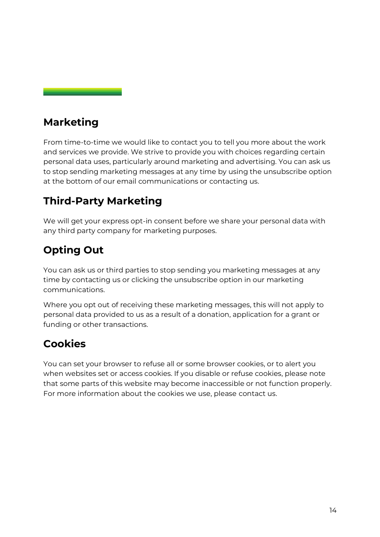#### **Marketing**

From time-to-time we would like to contact you to tell you more about the work and services we provide. We strive to provide you with choices regarding certain personal data uses, particularly around marketing and advertising. You can ask us to stop sending marketing messages at any time by using the unsubscribe option at the bottom of our email communications or [contacting us.](#page-3-1)

#### **Third-Party Marketing**

We will get your express opt-in consent before we share your personal data with any third party company for marketing purposes.

#### **Opting Out**

You can ask us or third parties to stop sending you marketing messages at any time by [contacting us](#page-3-1) or clicking the unsubscribe option in our marketing communications.

Where you opt out of receiving these marketing messages, this will not apply to personal data provided to us as a result of a donation, application for a grant or funding or other transactions.

### **Cookies**

You can set your browser to refuse all or some browser cookies, or to alert you when websites set or access cookies. If you disable or refuse cookies, please note that some parts of this website may become inaccessible or not function properly. For more information about the cookies we use, please [contact us.](#page-3-0)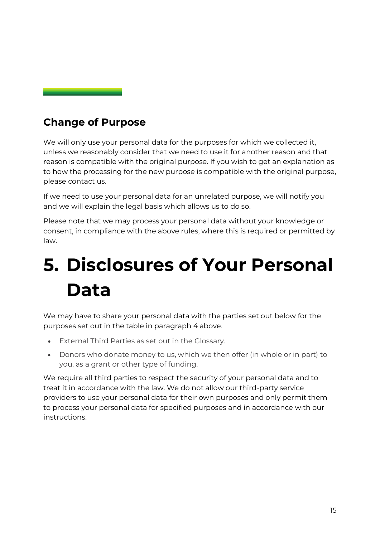#### **Change of Purpose**

We will only use your personal data for the purposes for which we collected it, unless we reasonably consider that we need to use it for another reason and that reason is compatible with the original purpose. If you wish to get an explanation as to how the processing for the new purpose is compatible with the original purpose, please [contact us.](#page-3-1)

If we need to use your personal data for an unrelated purpose, we will notify you and we will explain the legal basis which allows us to do so.

Please note that we may process your personal data without your knowledge or consent, in compliance with the above rules, where this is required or permitted by law.

### <span id="page-15-0"></span>**5. Disclosures of Your Personal Data**

We may have to share your personal data with the parties set out below for the purposes set out in the table in paragraph 4 above.

- External Third Parties as set out in the [Glossary.](file:///C:/Users/rachaelgrime/AppData/Local/Microsoft/Windows/INetCache/Content.Outlook/BT0LQ9CV/4115378_1.docx%23a682882)
- Donors who donate money to us, which we then offer (in whole or in part) to you, as a grant or other type of funding.

We require all third parties to respect the security of your personal data and to treat it in accordance with the law. We do not allow our third-party service providers to use your personal data for their own purposes and only permit them to process your personal data for specified purposes and in accordance with our instructions.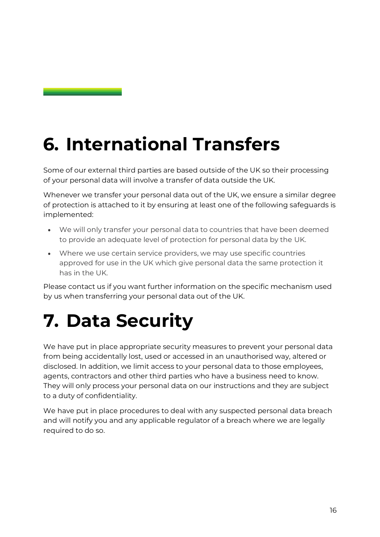## <span id="page-16-0"></span>**6. International Transfers**

Some of our external third parties are based outside of the UK so their processing of your personal data will involve a transfer of data outside the UK.

Whenever we transfer your personal data out of the UK, we ensure a similar degree of protection is attached to it by ensuring at least one of the following safeguards is implemented:

- We will only transfer your personal data to countries that have been deemed to provide an adequate level of protection for personal data by the UK.
- Where we use certain service providers, we may use specific countries approved for use in the UK which give personal data the same protection it has in the UK.

Please [contact us](#page-3-1) if you want further information on the specific mechanism used by us when transferring your personal data out of the UK.

### <span id="page-16-1"></span>**7. Data Security**

We have put in place appropriate security measures to prevent your personal data from being accidentally lost, used or accessed in an unauthorised way, altered or disclosed. In addition, we limit access to your personal data to those employees, agents, contractors and other third parties who have a business need to know. They will only process your personal data on our instructions and they are subject to a duty of confidentiality.

We have put in place procedures to deal with any suspected personal data breach and will notify you and any applicable regulator of a breach where we are legally required to do so.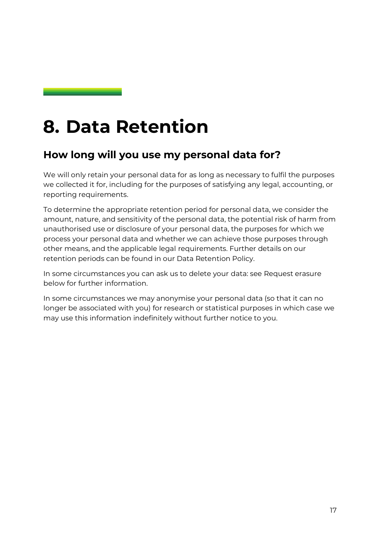### <span id="page-17-0"></span>**8. Data Retention**

#### **How long will you use my personal data for?**

We will only retain your personal data for as long as necessary to fulfil the purposes we collected it for, including for the purposes of satisfying any legal, accounting, or reporting requirements.

To determine the appropriate retention period for personal data, we consider the amount, nature, and sensitivity of the personal data, the potential risk of harm from unauthorised use or disclosure of your personal data, the purposes for which we process your personal data and whether we can achieve those purposes through other means, and the applicable legal requirements. Further details on our retention periods can be found in our Data Retention Policy.

In some circumstances you can ask us to delete your data: see [Request erasure](#page-21-0) below for further information.

In some circumstances we may anonymise your personal data (so that it can no longer be associated with you) for research or statistical purposes in which case we may use this information indefinitely without further notice to you.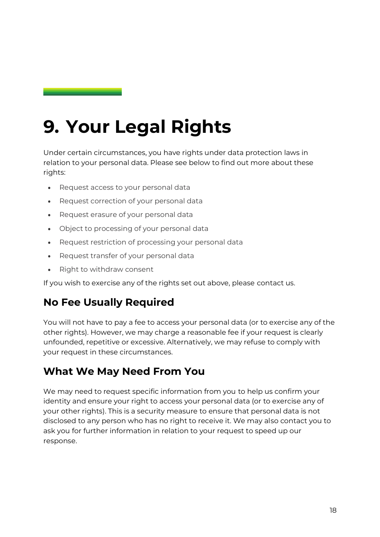### <span id="page-18-0"></span>**9. Your Legal Rights**

Under certain circumstances, you have rights under data protection laws in relation to your personal data. Please see below to find out more about these rights:

- [Request access to your personal data](#page-21-1)
- [Request correction of your personal data](#page-21-2)
- [Request erasure of your personal data](#page-21-0)
- [Object to processing of your personal data](#page-22-0)
- [Request restriction of processing your personal data](#page-22-1)
- [Request transfer of your personal data](#page-22-2)
- [Right to withdraw consent](file:///C:/Users/rachaelgrime/AppData/Local/Microsoft/Windows/INetCache/Content.Outlook/BT0LQ9CV/4115378_1.docx%23a722140)

If you wish to exercise any of the rights set out above, please [contact us.](#page-3-1)

#### **No Fee Usually Required**

You will not have to pay a fee to access your personal data (or to exercise any of the other rights). However, we may charge a reasonable fee if your request is clearly unfounded, repetitive or excessive. Alternatively, we may refuse to comply with your request in these circumstances.

#### **What We May Need From You**

We may need to request specific information from you to help us confirm your identity and ensure your right to access your personal data (or to exercise any of your other rights). This is a security measure to ensure that personal data is not disclosed to any person who has no right to receive it. We may also contact you to ask you for further information in relation to your request to speed up our response.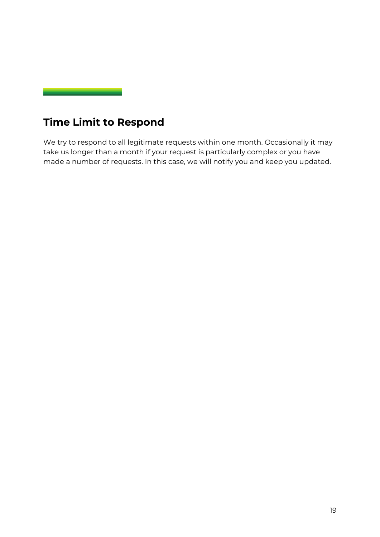

### **Time Limit to Respond**

We try to respond to all legitimate requests within one month. Occasionally it may take us longer than a month if your request is particularly complex or you have made a number of requests. In this case, we will notify you and keep you updated.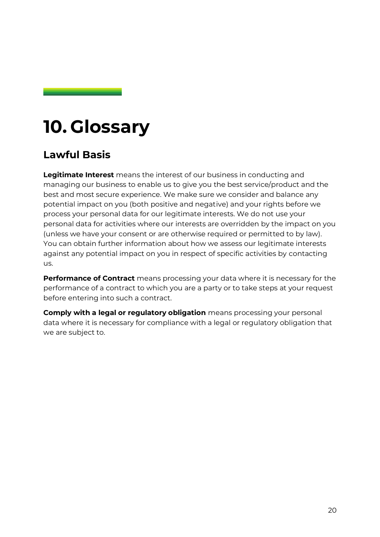### **10. Glossary**

#### **Lawful Basis**

**Legitimate Interest** means the interest of our business in conducting and managing our business to enable us to give you the best service/product and the best and most secure experience. We make sure we consider and balance any potential impact on you (both positive and negative) and your rights before we process your personal data for our legitimate interests. We do not use your personal data for activities where our interests are overridden by the impact on you (unless we have your consent or are otherwise required or permitted to by law). You can obtain further information about how we assess our legitimate interests against any potential impact on you in respect of specific activities by [contacting](#page-3-1)  [us.](#page-3-1)

**Performance of Contract** means processing your data where it is necessary for the performance of a contract to which you are a party or to take steps at your request before entering into such a contract.

**Comply with a legal or regulatory obligation** means processing your personal data where it is necessary for compliance with a legal or regulatory obligation that we are subject to.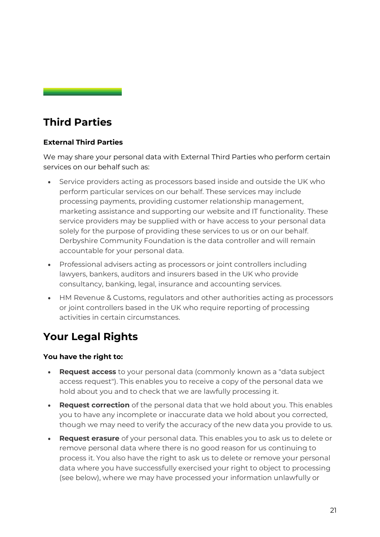#### **Third Parties**

#### **External Third Parties**

We may share your personal data with External Third Parties who perform certain services on our behalf such as:

- Service providers acting as processors based inside and outside the UK who perform particular services on our behalf. These services may include processing payments, providing customer relationship management, marketing assistance and supporting our website and IT functionality. These service providers may be supplied with or have access to your personal data solely for the purpose of providing these services to us or on our behalf. Derbyshire Community Foundation is the data controller and will remain accountable for your personal data.
- Professional advisers acting as processors or joint controllers including lawyers, bankers, auditors and insurers based in the UK who provide consultancy, banking, legal, insurance and accounting services.
- HM Revenue & Customs, regulators and other authorities acting as processors or joint controllers based in the UK who require reporting of processing activities in certain circumstances.

### **Your Legal Rights**

#### **You have the right to:**

- <span id="page-21-1"></span>• **Request access** to your personal data (commonly known as a "data subject access request"). This enables you to receive a copy of the personal data we hold about you and to check that we are lawfully processing it.
- <span id="page-21-2"></span>• **Request correction** of the personal data that we hold about you. This enables you to have any incomplete or inaccurate data we hold about you corrected, though we may need to verify the accuracy of the new data you provide to us.
- <span id="page-21-0"></span>• **Request erasure** of your personal data. This enables you to ask us to delete or remove personal data where there is no good reason for us continuing to process it. You also have the right to ask us to delete or remove your personal data where you have successfully exercised your right to object to processing (see below), where we may have processed your information unlawfully or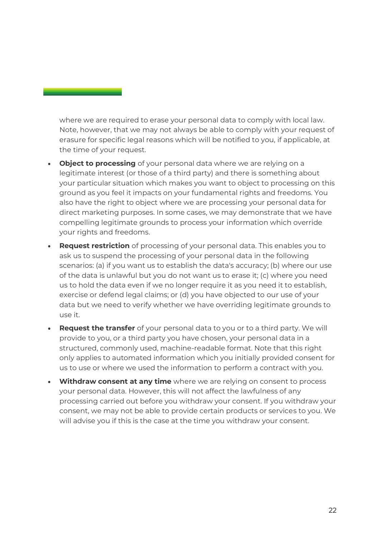where we are required to erase your personal data to comply with local law. Note, however, that we may not always be able to comply with your request of erasure for specific legal reasons which will be notified to you, if applicable, at the time of your request.

- <span id="page-22-0"></span>• **Object to processing** of your personal data where we are relying on a legitimate interest (or those of a third party) and there is something about your particular situation which makes you want to object to processing on this ground as you feel it impacts on your fundamental rights and freedoms. You also have the right to object where we are processing your personal data for direct marketing purposes. In some cases, we may demonstrate that we have compelling legitimate grounds to process your information which override your rights and freedoms.
- <span id="page-22-1"></span>• **Request restriction** of processing of your personal data. This enables you to ask us to suspend the processing of your personal data in the following scenarios: (a) if you want us to establish the data's accuracy; (b) where our use of the data is unlawful but you do not want us to erase it; (c) where you need us to hold the data even if we no longer require it as you need it to establish, exercise or defend legal claims; or (d) you have objected to our use of your data but we need to verify whether we have overriding legitimate grounds to use it.
- <span id="page-22-2"></span>• **Request the transfer** of your personal data to you or to a third party. We will provide to you, or a third party you have chosen, your personal data in a structured, commonly used, machine-readable format. Note that this right only applies to automated information which you initially provided consent for us to use or where we used the information to perform a contract with you.
- **Withdraw consent at any time** where we are relying on consent to process your personal data. However, this will not affect the lawfulness of any processing carried out before you withdraw your consent. If you withdraw your consent, we may not be able to provide certain products or services to you. We will advise you if this is the case at the time you withdraw your consent.